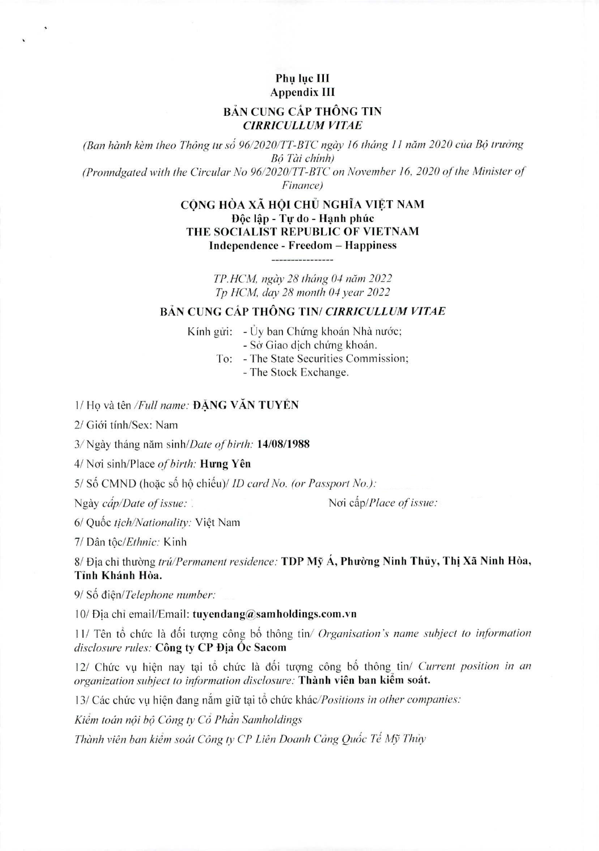## **Phu Igc III Appendix III**

## **BẢN CUNG CẤP THỐNG TIN** *CIRRICULLUM VITAE*

*(Ban hành kèm theo Thông tư số 96/2020/TT-BTC ngày 16 tháng 11 năm 2020 của Bộ trưởng BO Tai chinh) (Pronndgated with the Circular No 96/2020/TT-BTC on November 16, 2020 qf the Minister of Finance)* 

> **CÔNG HÒA XÃ HỘI CHỦ NGHĨA VIỆT NAM Dôc lâp - Tư do - Hanh phúc THE SOCIALIST REPUBLIC OF VIETNAM Independence - Freedom — Happiness**

> > *TP.HCM, ngay 28 thang 04 nam 2022 Tp HCM, day 28 month 04 year 2022*

## **BẢN CUNG CẤP THÔNG TIN/ CIRRICULLUM VITAE**

Kính gửi:  $-i$ Uy ban Chứng khoán Nhà nước;

- Sở Giao dịch chứng khoán.
- To: The State Securities Commission;

- The Stock Exchange.

1/Ho và tên */Full name:* **ĐĂNG VĂN TUYỀN** 

2/ Giới tính/Sex: Nam

3/Ngay thang nam *sinhIDate of birth:* **14/08/1988** 

4/ Nai sinh/Place *of birth:* **Hung Yen** 

5/ Số CMND (hoặc số hộ chiếu)/ *ID card No. (or Passport No.)*:

**Ngày** *câp/Date of issue:* **11/2016 <b>12/2016 12/2016 Noi** *câp/Place of issue:* 

**6/ Quik r** *tich/Nationality:* Viet Nam

**7/ Dan** *t(iclEthnic:* Kinh

8/ Đia chỉ thường *trú/Permanent residence:* **TDP Mỹ Á, Phường Ninh Thủy, Thị Xã Ninh Hòa, Tinh Khánh Hòa.** 

9/ Số điên/Telephone number:

10/ Dia chi email/Email: **tuyendang@samholdings.com.vn** 

11/ Tên tổ chức là đối tượng công bố thông tin/ *Organisation's name subject to information disclosure rules:* **Gong ty CP Dia Oc Sacom** 

12/ Chức vụ hiện nay tại tổ chức là đối tượng công bố thông tin/ *Current position in an organization subject to information disclosure:* **Thành viên ban kiểm soát.** 

13/ Các chức vụ hiện đang nắm giữ tại tổ chức khác/Positions in other companies:

Kiểm toán nội bộ Công ty Cổ Phần Samholdings

Thành viên ban kiểm soát Công ty CP Liên Doanh Cảng Quốc Tế Mỹ Thủy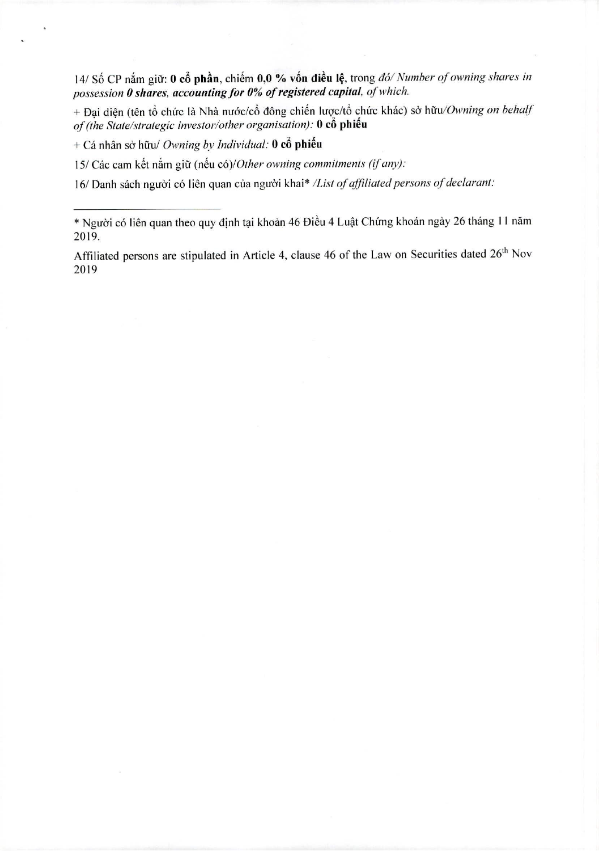14/ Số CP nắm giữ: 0 cổ phần, chiếm 0,0 % vốn điều lệ, trong đó/ Number of owning shares in possession 0 shares, accounting for 0% of registered capital, of which.

+ Đại diện (tên tổ chức là Nhà nước/cổ đông chiến lược/tổ chức khác) sở hữu/Owning on behalf of (the State/strategic investor/other organisation): 0 cô phiếu

+ Cá nhân sở hữu/ Owning by Individual:  $\theta$  cổ phiếu

15/ Các cam kết nắm giữ (nếu có)/Other owning commitments (if any):

16/ Danh sách người có liên quan của người khai\* /List of affiliated persons of declarant:

<sup>\*</sup> Người có liên quan theo quy định tại khoản 46 Điều 4 Luật Chứng khoán ngày 26 tháng 11 năm 2019.

Affiliated persons are stipulated in Article 4, clause 46 of the Law on Securities dated 26<sup>th</sup> Nov 2019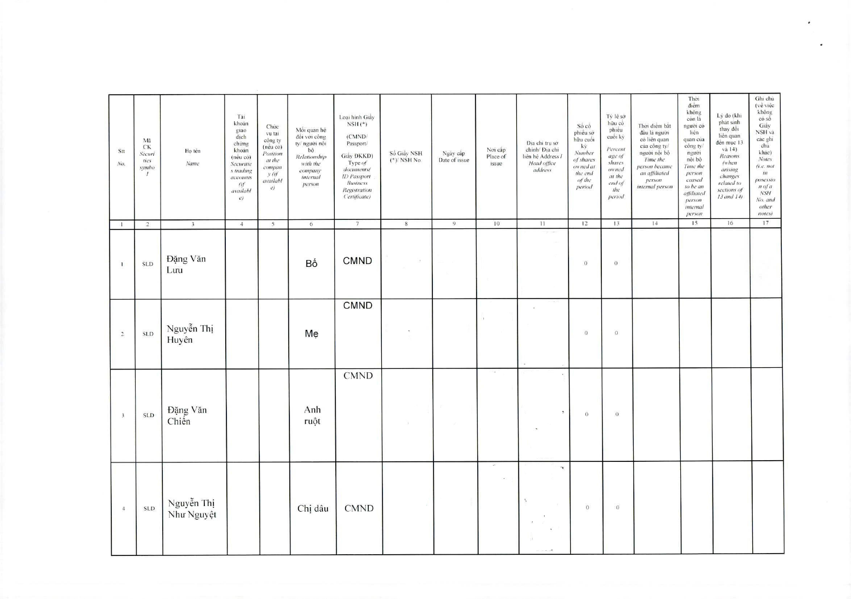| Stt<br>No.              | Mã<br>CK<br>Securi<br>ties<br>symbo<br>$\mathcal{I}$ | Ho tên<br>Name           | Tài<br>khoán<br>giao<br>dich<br>chứng<br>khoán<br>(néu có)<br>Securitie<br>s trading<br>accounts<br>(f)<br>availabl<br>$\mathcal{C}$ | Chức<br>vu tai<br>công ty<br>(néu có)<br>Position<br>at the<br>compan<br>y (if<br>availabl<br>e) | Mối quan hệ<br>đối với công<br>ty/ người nội<br>bô<br>Relationship<br>with the<br>company<br>internal<br>person | Loai hinh Giây<br>$NSH$ (*)<br>(CMND/<br>Passport/<br>Giảy ĐKKD)<br>Type of<br>documents(<br>ID Passport<br><b>Business</b><br>Registration<br>('ertificate) | Số Giây NSH<br>$(*)/$ NSH No. | Ngày cấp<br>Date of issue | Noi câp<br>Place of<br>issue | Địa chi tru sở<br>chinh/ Địa chi<br>liên hệ Address /<br>Head office<br>address                                    | Số cô<br>phiêu sở<br>hữu cuối<br>ký<br>Number<br>of shares<br>owned at<br>the end<br>of the<br>period | Tỷ lệ sở<br>hữu cò<br>phiêu<br>cuối kỳ<br>Percent<br>age of<br>shares<br>owned<br>at the<br>end of<br>the<br>period | Thời điểm bắt<br>đầu là người<br>cò liên quan<br>của công ty/<br>người nội bộ<br>Time the<br>person became<br>an affiliated<br>person<br>internal person | Thời<br>diêm<br>không<br>con la<br>người có<br>liên<br>quan cua<br>công ty/<br>người<br>nôi bộ<br>Time the<br>person<br>ceased<br>to be an<br>affiliated<br>person<br>internal<br>person | Lý do (khi<br>phat sinh<br>thay dòi<br>liên quan<br>đến mục 13<br>và 14)<br>Reasons<br>(when<br>arising<br>changes<br>related to<br>sections of<br>$13$ and $14$ ) | Ghi chủ<br>$(v \dot{e}$ việc<br>không<br>có số<br>Giây<br>NSH và<br>các ghi<br>chú<br>khác)<br>Notes<br>(i.e. not<br>in<br>posessio<br>$n$ of $a$<br>NSH<br>No. and<br>other<br>notes) |
|-------------------------|------------------------------------------------------|--------------------------|--------------------------------------------------------------------------------------------------------------------------------------|--------------------------------------------------------------------------------------------------|-----------------------------------------------------------------------------------------------------------------|--------------------------------------------------------------------------------------------------------------------------------------------------------------|-------------------------------|---------------------------|------------------------------|--------------------------------------------------------------------------------------------------------------------|-------------------------------------------------------------------------------------------------------|---------------------------------------------------------------------------------------------------------------------|----------------------------------------------------------------------------------------------------------------------------------------------------------|------------------------------------------------------------------------------------------------------------------------------------------------------------------------------------------|--------------------------------------------------------------------------------------------------------------------------------------------------------------------|----------------------------------------------------------------------------------------------------------------------------------------------------------------------------------------|
| $\mathbf{1}$            | $\overline{2}$                                       | $\overline{3}$           | $\overline{4}$                                                                                                                       | $\mathfrak{s}$                                                                                   | 6                                                                                                               | 7                                                                                                                                                            | $\,$ 8 $\,$                   | $\overline{9}$            | 10                           | 11                                                                                                                 | 12                                                                                                    | 13                                                                                                                  | 14                                                                                                                                                       | 15                                                                                                                                                                                       | 16                                                                                                                                                                 | 17                                                                                                                                                                                     |
| $\mathbf{1}$            | <b>SLD</b>                                           | Đặng Văn<br>Lutu         |                                                                                                                                      |                                                                                                  | Bố                                                                                                              | <b>CMND</b>                                                                                                                                                  | $\mathcal{A}$                 |                           |                              |                                                                                                                    | $\mathbf{O}$                                                                                          | $\overline{0}$                                                                                                      |                                                                                                                                                          |                                                                                                                                                                                          |                                                                                                                                                                    |                                                                                                                                                                                        |
| $\sqrt{2}$              | <b>SLD</b>                                           | Nguyễn Thị<br>Huyên      |                                                                                                                                      |                                                                                                  | Me                                                                                                              | <b>CMND</b>                                                                                                                                                  |                               |                           |                              | $\lambda$ .                                                                                                        | $\overline{0}$                                                                                        | $\mathbf{O}$                                                                                                        |                                                                                                                                                          |                                                                                                                                                                                          |                                                                                                                                                                    |                                                                                                                                                                                        |
| $\overline{\mathbf{3}}$ | <b>SLD</b>                                           | Đặng Văn<br>Chiến        |                                                                                                                                      |                                                                                                  | Anh<br>ruột                                                                                                     | <b>CMND</b>                                                                                                                                                  | $\lambda$                     |                           | $\sim$                       | ×<br>$\boldsymbol{\Sigma}$                                                                                         | $\overline{0}$                                                                                        | $\mathbf 0$                                                                                                         |                                                                                                                                                          |                                                                                                                                                                                          |                                                                                                                                                                    |                                                                                                                                                                                        |
| $\overline{4}$          | <b>SLD</b>                                           | Nguyễn Thị<br>Như Nguyệt |                                                                                                                                      |                                                                                                  | Chị dâu                                                                                                         | <b>CMND</b>                                                                                                                                                  |                               |                           | $\sim$<br>$\epsilon$         | $\mathbf{\bar{r}}$<br>$\mathcal{N}$<br>$\mathcal{L}^{\text{ex}}_{\text{ex}}$<br>11.<br>$\mathcal{L}_{\mathcal{A}}$ | $\sigma$                                                                                              | $\Omega$                                                                                                            |                                                                                                                                                          |                                                                                                                                                                                          |                                                                                                                                                                    |                                                                                                                                                                                        |